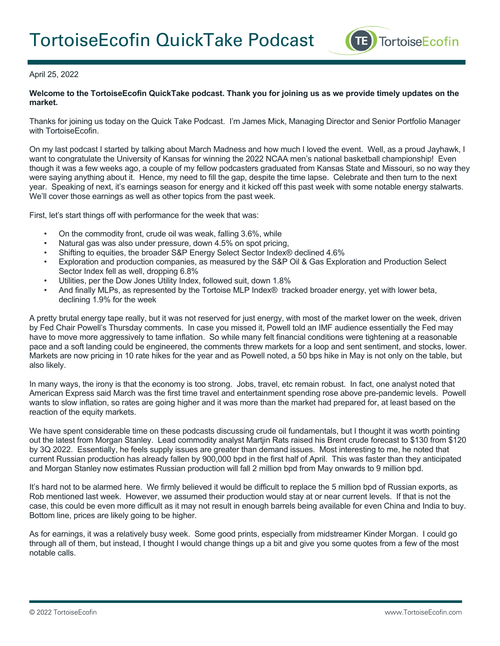

## April 25, 2022

## **Welcome to the TortoiseEcofin QuickTake podcast. Thank you for joining us as we provide timely updates on the market.**

Thanks for joining us today on the Quick Take Podcast. I'm James Mick, Managing Director and Senior Portfolio Manager with TortoiseEcofin.

On my last podcast I started by talking about March Madness and how much I loved the event. Well, as a proud Jayhawk, I want to congratulate the University of Kansas for winning the 2022 NCAA men's national basketball championship! Even though it was a few weeks ago, a couple of my fellow podcasters graduated from Kansas State and Missouri, so no way they were saying anything about it. Hence, my need to fill the gap, despite the time lapse. Celebrate and then turn to the next year. Speaking of next, it's earnings season for energy and it kicked off this past week with some notable energy stalwarts. We'll cover those earnings as well as other topics from the past week.

First, let's start things off with performance for the week that was:

- On the commodity front, crude oil was weak, falling 3.6%, while
- Natural gas was also under pressure, down 4.5% on spot pricing,
- Shifting to equities, the broader S&P Energy Select Sector Index® declined 4.6%
- Exploration and production companies, as measured by the S&P Oil & Gas Exploration and Production Select Sector Index fell as well, dropping 6.8%
- Utilities, per the Dow Jones Utility Index, followed suit, down 1.8%
- And finally MLPs, as represented by the Tortoise MLP Index® tracked broader energy, yet with lower beta, declining 1.9% for the week

A pretty brutal energy tape really, but it was not reserved for just energy, with most of the market lower on the week, driven by Fed Chair Powell's Thursday comments. In case you missed it, Powell told an IMF audience essentially the Fed may have to move more aggressively to tame inflation. So while many felt financial conditions were tightening at a reasonable pace and a soft landing could be engineered, the comments threw markets for a loop and sent sentiment, and stocks, lower. Markets are now pricing in 10 rate hikes for the year and as Powell noted, a 50 bps hike in May is not only on the table, but also likely.

In many ways, the irony is that the economy is too strong. Jobs, travel, etc remain robust. In fact, one analyst noted that American Express said March was the first time travel and entertainment spending rose above pre-pandemic levels. Powell wants to slow inflation, so rates are going higher and it was more than the market had prepared for, at least based on the reaction of the equity markets.

We have spent considerable time on these podcasts discussing crude oil fundamentals, but I thought it was worth pointing out the latest from Morgan Stanley. Lead commodity analyst Martjin Rats raised his Brent crude forecast to \$130 from \$120 by 3Q 2022. Essentially, he feels supply issues are greater than demand issues. Most interesting to me, he noted that current Russian production has already fallen by 900,000 bpd in the first half of April. This was faster than they anticipated and Morgan Stanley now estimates Russian production will fall 2 million bpd from May onwards to 9 million bpd.

It's hard not to be alarmed here. We firmly believed it would be difficult to replace the 5 million bpd of Russian exports, as Rob mentioned last week. However, we assumed their production would stay at or near current levels. If that is not the case, this could be even more difficult as it may not result in enough barrels being available for even China and India to buy. Bottom line, prices are likely going to be higher.

As for earnings, it was a relatively busy week. Some good prints, especially from midstreamer Kinder Morgan. I could go through all of them, but instead, I thought I would change things up a bit and give you some quotes from a few of the most notable calls.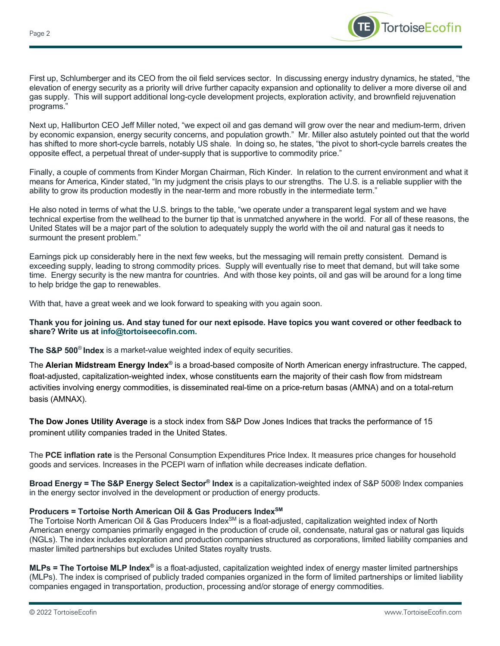

First up, Schlumberger and its CEO from the oil field services sector. In discussing energy industry dynamics, he stated, "the elevation of energy security as a priority will drive further capacity expansion and optionality to deliver a more diverse oil and gas supply. This will support additional long-cycle development projects, exploration activity, and brownfield rejuvenation programs."

Next up, Halliburton CEO Jeff Miller noted, "we expect oil and gas demand will grow over the near and medium-term, driven by economic expansion, energy security concerns, and population growth." Mr. Miller also astutely pointed out that the world has shifted to more short-cycle barrels, notably US shale. In doing so, he states, "the pivot to short-cycle barrels creates the opposite effect, a perpetual threat of under-supply that is supportive to commodity price."

Finally, a couple of comments from Kinder Morgan Chairman, Rich Kinder. In relation to the current environment and what it means for America, Kinder stated, "In my judgment the crisis plays to our strengths. The U.S. is a reliable supplier with the ability to grow its production modestly in the near-term and more robustly in the intermediate term."

He also noted in terms of what the U.S. brings to the table, "we operate under a transparent legal system and we have technical expertise from the wellhead to the burner tip that is unmatched anywhere in the world. For all of these reasons, the United States will be a major part of the solution to adequately supply the world with the oil and natural gas it needs to surmount the present problem."

Earnings pick up considerably here in the next few weeks, but the messaging will remain pretty consistent. Demand is exceeding supply, leading to strong commodity prices. Supply will eventually rise to meet that demand, but will take some time. Energy security is the new mantra for countries. And with those key points, oil and gas will be around for a long time to help bridge the gap to renewables.

With that, have a great week and we look forward to speaking with you again soon.

## **Thank you for joining us. And stay tuned for our next episode. Have topics you want covered or other feedback to share? Write us at info@tortoiseecofin.com.**

**The S&P 500**® **Index** is a market-value weighted index of equity securities.

The **Alerian Midstream Energy Index®** is a broad-based composite of North American energy infrastructure. The capped, float-adjusted, capitalization-weighted index, whose constituents earn the majority of their cash flow from midstream activities involving energy commodities, is disseminated real-time on a price-return basas (AMNA) and on a total-return basis (AMNAX).

**The Dow Jones Utility Average** is a stock index from S&P Dow Jones Indices that tracks the performance of 15 prominent utility companies traded in the United States.

The **PCE inflation rate** is the Personal Consumption Expenditures Price Index. It measures price changes for household goods and services. Increases in the PCEPI warn of inflation while decreases indicate deflation.

**Broad Energy = The S&P Energy Select Sector® Index** is a capitalization-weighted index of S&P 500® Index companies in the energy sector involved in the development or production of energy products.

## **Producers = Tortoise North American Oil & Gas Producers IndexSM**

The Tortoise North American Oil & Gas Producers Index<sup>SM</sup> is a float-adjusted, capitalization weighted index of North American energy companies primarily engaged in the production of crude oil, condensate, natural gas or natural gas liquids (NGLs). The index includes exploration and production companies structured as corporations, limited liability companies and master limited partnerships but excludes United States royalty trusts.

**MLPs = The Tortoise MLP Index®** is a float-adjusted, capitalization weighted index of energy master limited partnerships (MLPs). The index is comprised of publicly traded companies organized in the form of limited partnerships or limited liability companies engaged in transportation, production, processing and/or storage of energy commodities.